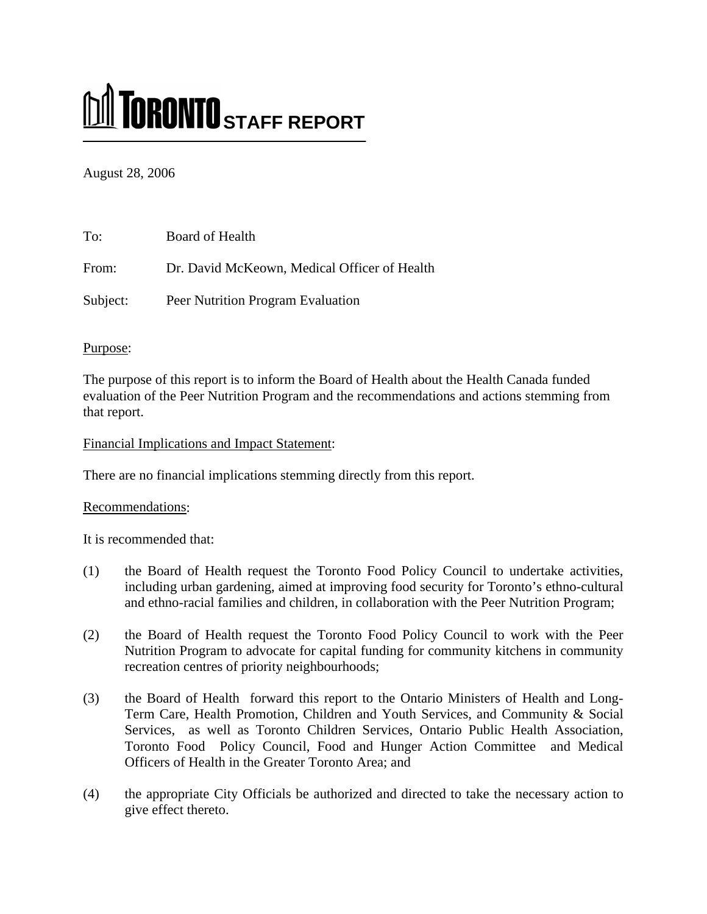# **MI TORONTO** STAFF REPORT

August 28, 2006

| To:      | Board of Health                              |
|----------|----------------------------------------------|
| From:    | Dr. David McKeown, Medical Officer of Health |
| Subject: | Peer Nutrition Program Evaluation            |

#### Purpose:

The purpose of this report is to inform the Board of Health about the Health Canada funded evaluation of the Peer Nutrition Program and the recommendations and actions stemming from that report.

Financial Implications and Impact Statement:

There are no financial implications stemming directly from this report.

# Recommendations:

It is recommended that:

- (1) the Board of Health request the Toronto Food Policy Council to undertake activities, including urban gardening, aimed at improving food security for Toronto's ethno-cultural and ethno-racial families and children, in collaboration with the Peer Nutrition Program;
- (2) the Board of Health request the Toronto Food Policy Council to work with the Peer Nutrition Program to advocate for capital funding for community kitchens in community recreation centres of priority neighbourhoods;
- (3) the Board of Health forward this report to the Ontario Ministers of Health and Long-Term Care, Health Promotion, Children and Youth Services, and Community & Social Services, as well as Toronto Children Services, Ontario Public Health Association, Toronto Food Policy Council, Food and Hunger Action Committee and Medical Officers of Health in the Greater Toronto Area; and
- (4) the appropriate City Officials be authorized and directed to take the necessary action to give effect thereto.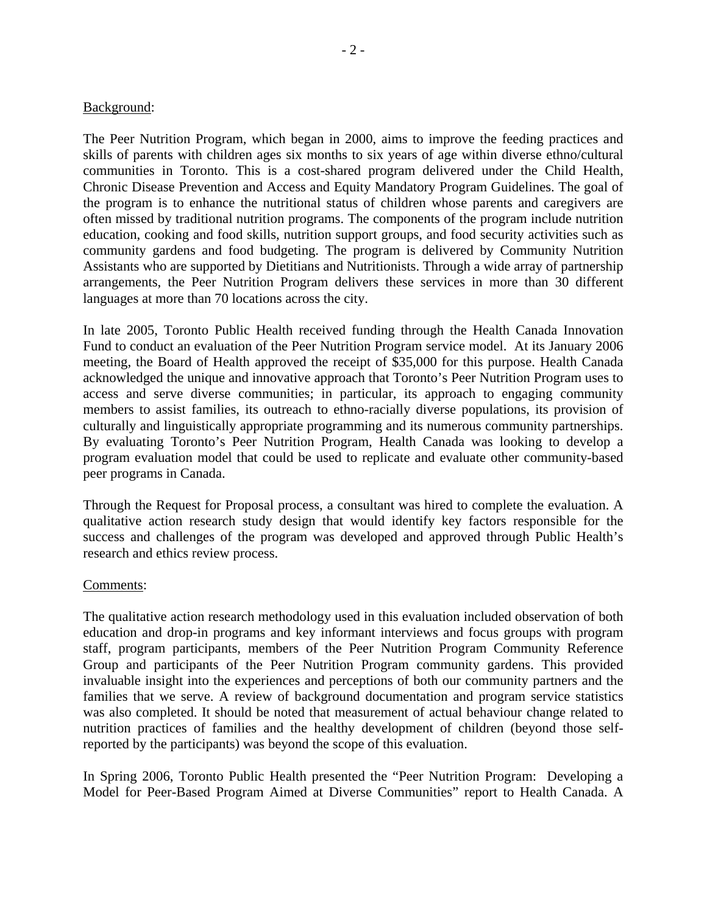#### Background:

The Peer Nutrition Program, which began in 2000, aims to improve the feeding practices and skills of parents with children ages six months to six years of age within diverse ethno/cultural communities in Toronto. This is a cost-shared program delivered under the Child Health, Chronic Disease Prevention and Access and Equity Mandatory Program Guidelines. The goal of the program is to enhance the nutritional status of children whose parents and caregivers are often missed by traditional nutrition programs. The components of the program include nutrition education, cooking and food skills, nutrition support groups, and food security activities such as community gardens and food budgeting. The program is delivered by Community Nutrition Assistants who are supported by Dietitians and Nutritionists. Through a wide array of partnership arrangements, the Peer Nutrition Program delivers these services in more than 30 different languages at more than 70 locations across the city.

In late 2005, Toronto Public Health received funding through the Health Canada Innovation Fund to conduct an evaluation of the Peer Nutrition Program service model. At its January 2006 meeting, the Board of Health approved the receipt of \$35,000 for this purpose. Health Canada acknowledged the unique and innovative approach that Toronto's Peer Nutrition Program uses to access and serve diverse communities; in particular, its approach to engaging community members to assist families, its outreach to ethno-racially diverse populations, its provision of culturally and linguistically appropriate programming and its numerous community partnerships. By evaluating Toronto's Peer Nutrition Program, Health Canada was looking to develop a program evaluation model that could be used to replicate and evaluate other community-based peer programs in Canada.

Through the Request for Proposal process, a consultant was hired to complete the evaluation. A qualitative action research study design that would identify key factors responsible for the success and challenges of the program was developed and approved through Public Health's research and ethics review process.

#### Comments:

The qualitative action research methodology used in this evaluation included observation of both education and drop-in programs and key informant interviews and focus groups with program staff, program participants, members of the Peer Nutrition Program Community Reference Group and participants of the Peer Nutrition Program community gardens. This provided invaluable insight into the experiences and perceptions of both our community partners and the families that we serve. A review of background documentation and program service statistics was also completed. It should be noted that measurement of actual behaviour change related to nutrition practices of families and the healthy development of children (beyond those selfreported by the participants) was beyond the scope of this evaluation.

In Spring 2006, Toronto Public Health presented the "Peer Nutrition Program: Developing a Model for Peer-Based Program Aimed at Diverse Communities" report to Health Canada. A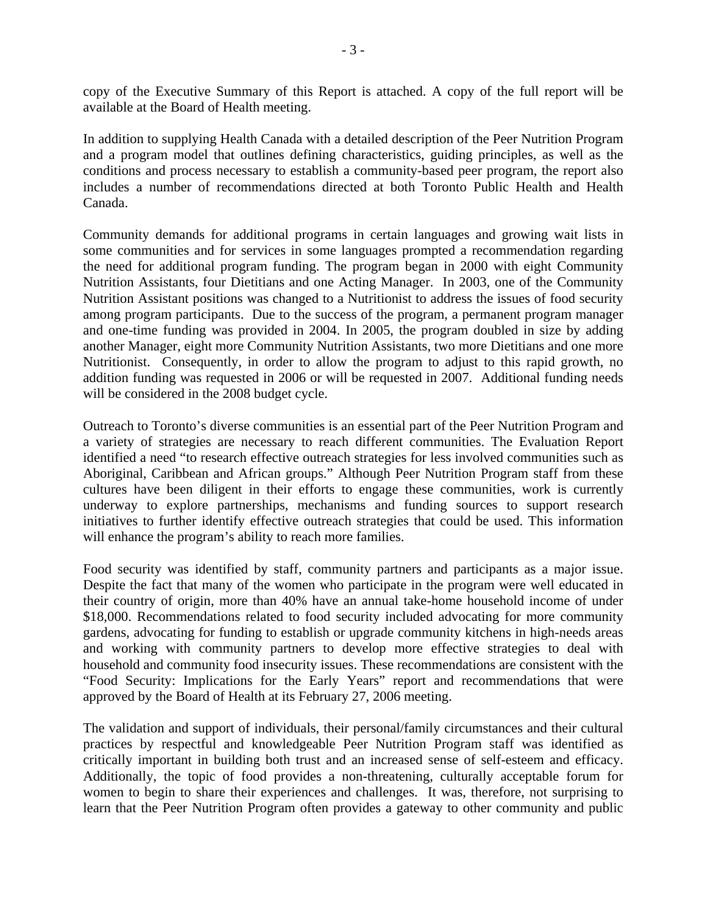copy of the Executive Summary of this Report is attached. A copy of the full report will be available at the Board of Health meeting.

In addition to supplying Health Canada with a detailed description of the Peer Nutrition Program and a program model that outlines defining characteristics, guiding principles, as well as the conditions and process necessary to establish a community-based peer program, the report also includes a number of recommendations directed at both Toronto Public Health and Health Canada.

Community demands for additional programs in certain languages and growing wait lists in some communities and for services in some languages prompted a recommendation regarding the need for additional program funding. The program began in 2000 with eight Community Nutrition Assistants, four Dietitians and one Acting Manager. In 2003, one of the Community Nutrition Assistant positions was changed to a Nutritionist to address the issues of food security among program participants. Due to the success of the program, a permanent program manager and one-time funding was provided in 2004. In 2005, the program doubled in size by adding another Manager, eight more Community Nutrition Assistants, two more Dietitians and one more Nutritionist. Consequently, in order to allow the program to adjust to this rapid growth, no addition funding was requested in 2006 or will be requested in 2007. Additional funding needs will be considered in the 2008 budget cycle.

Outreach to Toronto's diverse communities is an essential part of the Peer Nutrition Program and a variety of strategies are necessary to reach different communities. The Evaluation Report identified a need "to research effective outreach strategies for less involved communities such as Aboriginal, Caribbean and African groups." Although Peer Nutrition Program staff from these cultures have been diligent in their efforts to engage these communities, work is currently underway to explore partnerships, mechanisms and funding sources to support research initiatives to further identify effective outreach strategies that could be used. This information will enhance the program's ability to reach more families.

Food security was identified by staff, community partners and participants as a major issue. Despite the fact that many of the women who participate in the program were well educated in their country of origin, more than 40% have an annual take-home household income of under \$18,000. Recommendations related to food security included advocating for more community gardens, advocating for funding to establish or upgrade community kitchens in high-needs areas and working with community partners to develop more effective strategies to deal with household and community food insecurity issues. These recommendations are consistent with the "Food Security: Implications for the Early Years" report and recommendations that were approved by the Board of Health at its February 27, 2006 meeting.

The validation and support of individuals, their personal/family circumstances and their cultural practices by respectful and knowledgeable Peer Nutrition Program staff was identified as critically important in building both trust and an increased sense of self-esteem and efficacy. Additionally, the topic of food provides a non-threatening, culturally acceptable forum for women to begin to share their experiences and challenges. It was, therefore, not surprising to learn that the Peer Nutrition Program often provides a gateway to other community and public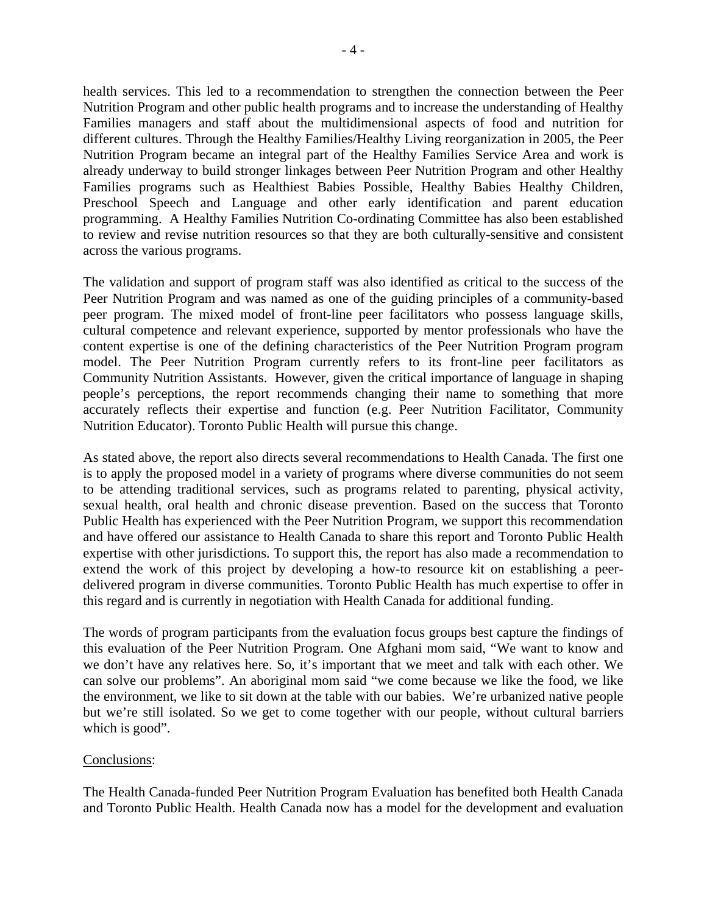health services. This led to a recommendation to strengthen the connection between the Peer Nutrition Program and other public health programs and to increase the understanding of Healthy Families managers and staff about the multidimensional aspects of food and nutrition for different cultures. Through the Healthy Families/Healthy Living reorganization in 2005, the Peer Nutrition Program became an integral part of the Healthy Families Service Area and work is already underway to build stronger linkages between Peer Nutrition Program and other Healthy Families programs such as Healthiest Babies Possible, Healthy Babies Healthy Children, Preschool Speech and Language and other early identification and parent education programming. A Healthy Families Nutrition Co-ordinating Committee has also been established to review and revise nutrition resources so that they are both culturally-sensitive and consistent across the various programs.

The validation and support of program staff was also identified as critical to the success of the Peer Nutrition Program and was named as one of the guiding principles of a community-based peer program. The mixed model of front-line peer facilitators who possess language skills, cultural competence and relevant experience, supported by mentor professionals who have the content expertise is one of the defining characteristics of the Peer Nutrition Program program model. The Peer Nutrition Program currently refers to its front-line peer facilitators as Community Nutrition Assistants. However, given the critical importance of language in shaping people's perceptions, the report recommends changing their name to something that more accurately reflects their expertise and function (e.g. Peer Nutrition Facilitator, Community Nutrition Educator). Toronto Public Health will pursue this change.

As stated above, the report also directs several recommendations to Health Canada. The first one is to apply the proposed model in a variety of programs where diverse communities do not seem to be attending traditional services, such as programs related to parenting, physical activity, sexual health, oral health and chronic disease prevention. Based on the success that Toronto Public Health has experienced with the Peer Nutrition Program, we support this recommendation and have offered our assistance to Health Canada to share this report and Toronto Public Health expertise with other jurisdictions. To support this, the report has also made a recommendation to extend the work of this project by developing a how-to resource kit on establishing a peerdelivered program in diverse communities. Toronto Public Health has much expertise to offer in this regard and is currently in negotiation with Health Canada for additional funding.

The words of program participants from the evaluation focus groups best capture the findings of this evaluation of the Peer Nutrition Program. One Afghani mom said, "We want to know and we don't have any relatives here. So, it's important that we meet and talk with each other. We can solve our problems". An aboriginal mom said "we come because we like the food, we like the environment, we like to sit down at the table with our babies. We're urbanized native people but we're still isolated. So we get to come together with our people, without cultural barriers which is good".

#### Conclusions:

The Health Canada-funded Peer Nutrition Program Evaluation has benefited both Health Canada and Toronto Public Health. Health Canada now has a model for the development and evaluation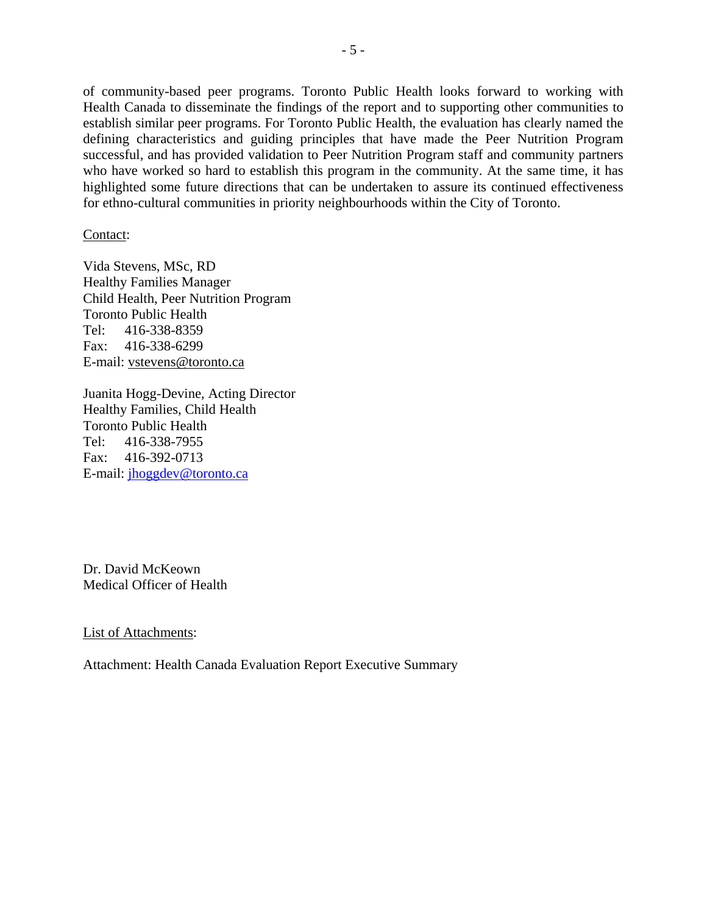of community-based peer programs. Toronto Public Health looks forward to working with Health Canada to disseminate the findings of the report and to supporting other communities to establish similar peer programs. For Toronto Public Health, the evaluation has clearly named the defining characteristics and guiding principles that have made the Peer Nutrition Program successful, and has provided validation to Peer Nutrition Program staff and community partners who have worked so hard to establish this program in the community. At the same time, it has highlighted some future directions that can be undertaken to assure its continued effectiveness for ethno-cultural communities in priority neighbourhoods within the City of Toronto.

Contact:

Vida Stevens, MSc, RD Healthy Families Manager Child Health, Peer Nutrition Program Toronto Public Health Tel: 416-338-8359 Fax: 416-338-6299 E-mail: vstevens@toronto.ca

Juanita Hogg-Devine, Acting Director Healthy Families, Child Health Toronto Public Health Tel: 416-338-7955 Fax: 416-392-0713 E-mail: jhoggdev@toronto.ca

Dr. David McKeown Medical Officer of Health

List of Attachments:

Attachment: Health Canada Evaluation Report Executive Summary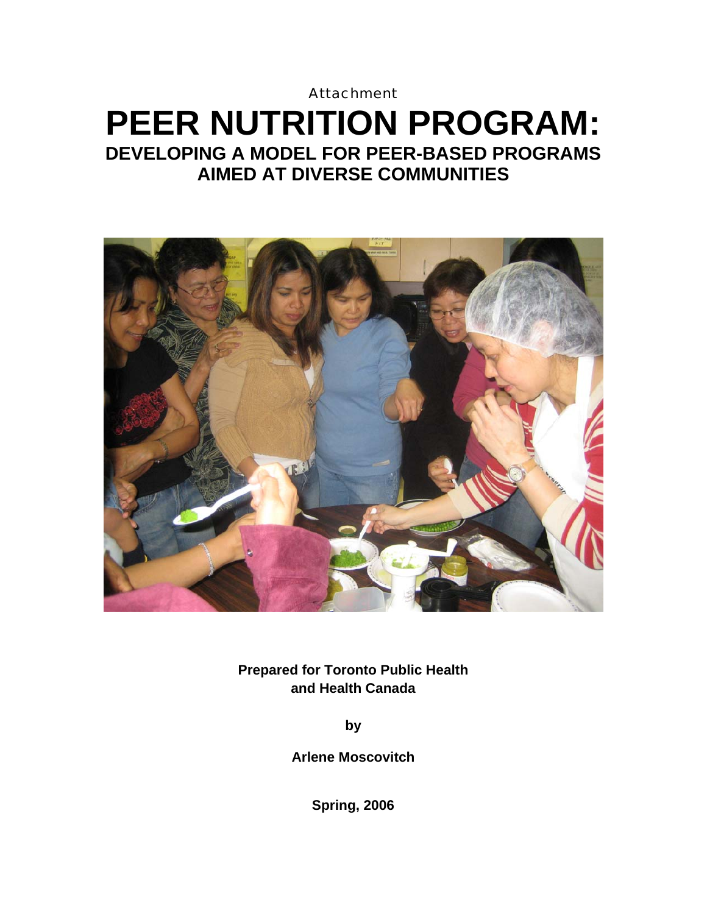# **Attachment PEER NUTRITION PROGRAM: DEVELOPING A MODEL FOR PEER-BASED PROGRAMS AIMED AT DIVERSE COMMUNITIES**



**Prepared for Toronto Public Health and Health Canada** 

**by**

**Arlene Moscovitch** 

**Spring, 2006**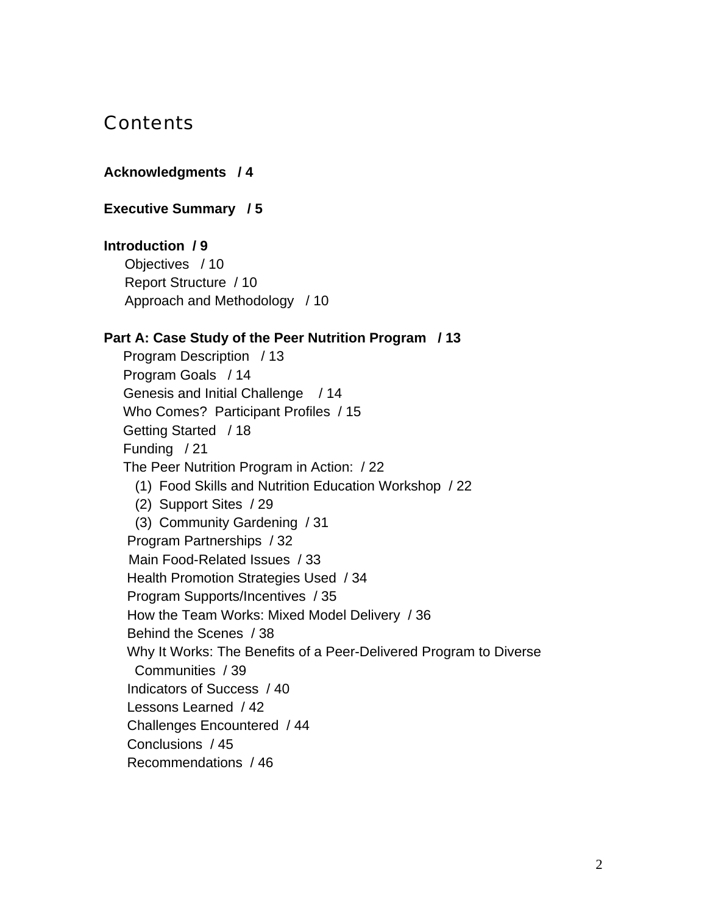# **Contents**

#### **Acknowledgments / 4**

#### **Executive Summary / 5**

#### **Introduction / 9**

Objectives / 10 Report Structure / 10 Approach and Methodology / 10

#### **Part A: Case Study of the Peer Nutrition Program / 13**

 Program Description / 13 Program Goals / 14 Genesis and Initial Challenge / 14 Who Comes? Participant Profiles / 15 Getting Started / 18 Funding / 21 The Peer Nutrition Program in Action: / 22 (1) Food Skills and Nutrition Education Workshop / 22 (2) Support Sites / 29 (3) Community Gardening / 31 Program Partnerships / 32 Main Food-Related Issues / 33 Health Promotion Strategies Used / 34 Program Supports/Incentives / 35 How the Team Works: Mixed Model Delivery / 36 Behind the Scenes / 38 Why It Works: The Benefits of a Peer-Delivered Program to Diverse Communities / 39 Indicators of Success / 40 Lessons Learned / 42 Challenges Encountered / 44 Conclusions / 45 Recommendations / 46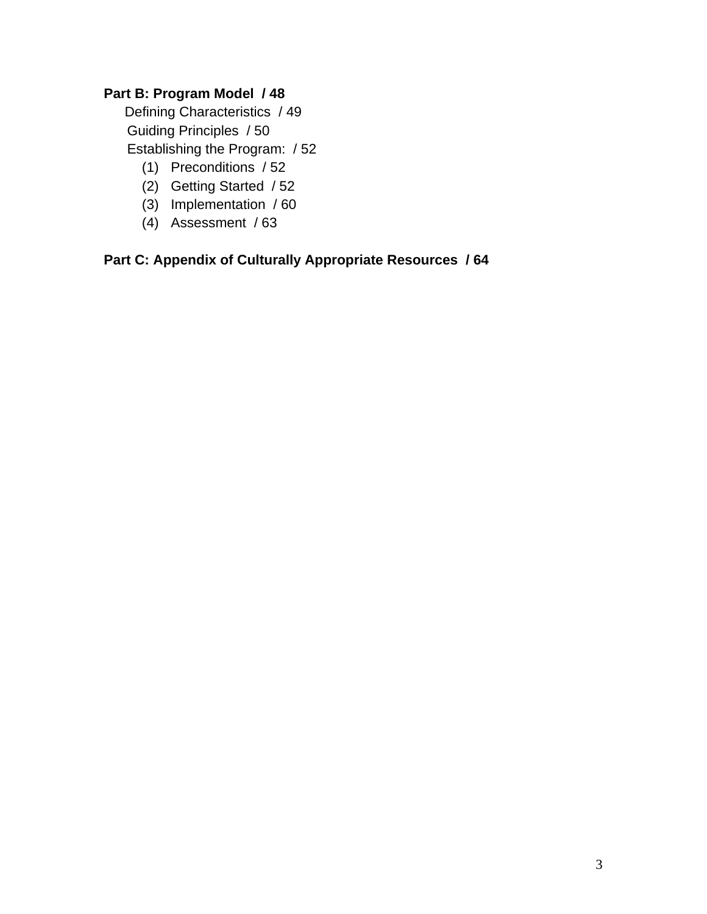# **Part B: Program Model / 48**

 Defining Characteristics / 49 Guiding Principles / 50 Establishing the Program: / 52

- (1) Preconditions / 52
- (2) Getting Started / 52
- (3) Implementation / 60
- (4) Assessment / 63

# **Part C: Appendix of Culturally Appropriate Resources / 64**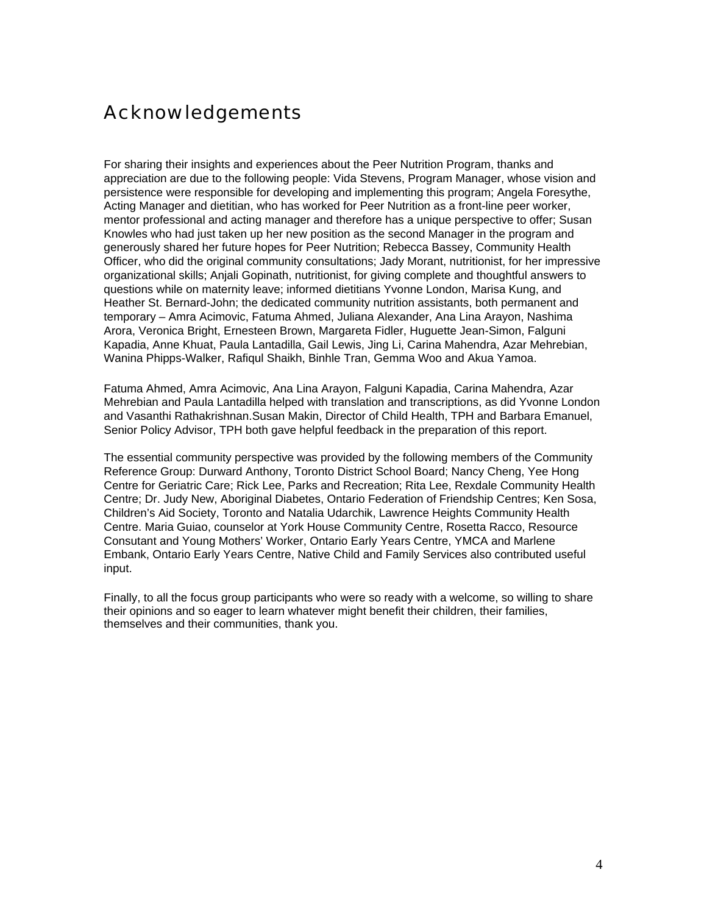# Acknowledgements

For sharing their insights and experiences about the Peer Nutrition Program, thanks and appreciation are due to the following people: Vida Stevens, Program Manager, whose vision and persistence were responsible for developing and implementing this program; Angela Foresythe, Acting Manager and dietitian, who has worked for Peer Nutrition as a front-line peer worker, mentor professional and acting manager and therefore has a unique perspective to offer; Susan Knowles who had just taken up her new position as the second Manager in the program and generously shared her future hopes for Peer Nutrition; Rebecca Bassey, Community Health Officer, who did the original community consultations; Jady Morant, nutritionist, for her impressive organizational skills; Anjali Gopinath, nutritionist, for giving complete and thoughtful answers to questions while on maternity leave; informed dietitians Yvonne London, Marisa Kung, and Heather St. Bernard-John; the dedicated community nutrition assistants, both permanent and temporary – Amra Acimovic, Fatuma Ahmed, Juliana Alexander, Ana Lina Arayon, Nashima Arora, Veronica Bright, Ernesteen Brown, Margareta Fidler, Huguette Jean-Simon, Falguni Kapadia, Anne Khuat, Paula Lantadilla, Gail Lewis, Jing Li, Carina Mahendra, Azar Mehrebian, Wanina Phipps-Walker, Rafiqul Shaikh, Binhle Tran, Gemma Woo and Akua Yamoa.

Fatuma Ahmed, Amra Acimovic, Ana Lina Arayon, Falguni Kapadia, Carina Mahendra, Azar Mehrebian and Paula Lantadilla helped with translation and transcriptions, as did Yvonne London and Vasanthi Rathakrishnan.Susan Makin, Director of Child Health, TPH and Barbara Emanuel, Senior Policy Advisor, TPH both gave helpful feedback in the preparation of this report.

The essential community perspective was provided by the following members of the Community Reference Group: Durward Anthony, Toronto District School Board; Nancy Cheng, Yee Hong Centre for Geriatric Care; Rick Lee, Parks and Recreation; Rita Lee, Rexdale Community Health Centre; Dr. Judy New, Aboriginal Diabetes, Ontario Federation of Friendship Centres; Ken Sosa, Children's Aid Society, Toronto and Natalia Udarchik, Lawrence Heights Community Health Centre. Maria Guiao, counselor at York House Community Centre, Rosetta Racco, Resource Consutant and Young Mothers' Worker, Ontario Early Years Centre, YMCA and Marlene Embank, Ontario Early Years Centre, Native Child and Family Services also contributed useful input.

Finally, to all the focus group participants who were so ready with a welcome, so willing to share their opinions and so eager to learn whatever might benefit their children, their families, themselves and their communities, thank you.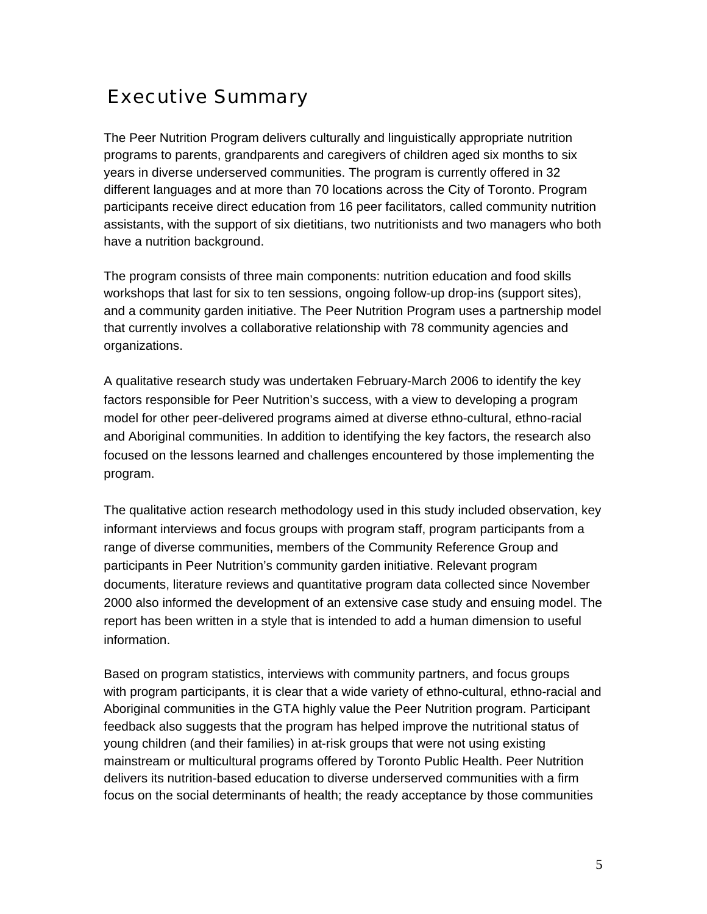# Executive Summary

The Peer Nutrition Program delivers culturally and linguistically appropriate nutrition programs to parents, grandparents and caregivers of children aged six months to six years in diverse underserved communities. The program is currently offered in 32 different languages and at more than 70 locations across the City of Toronto. Program participants receive direct education from 16 peer facilitators, called community nutrition assistants, with the support of six dietitians, two nutritionists and two managers who both have a nutrition background.

The program consists of three main components: nutrition education and food skills workshops that last for six to ten sessions, ongoing follow-up drop-ins (support sites), and a community garden initiative. The Peer Nutrition Program uses a partnership model that currently involves a collaborative relationship with 78 community agencies and organizations.

A qualitative research study was undertaken February-March 2006 to identify the key factors responsible for Peer Nutrition's success, with a view to developing a program model for other peer-delivered programs aimed at diverse ethno-cultural, ethno-racial and Aboriginal communities. In addition to identifying the key factors, the research also focused on the lessons learned and challenges encountered by those implementing the program.

The qualitative action research methodology used in this study included observation, key informant interviews and focus groups with program staff, program participants from a range of diverse communities, members of the Community Reference Group and participants in Peer Nutrition's community garden initiative. Relevant program documents, literature reviews and quantitative program data collected since November 2000 also informed the development of an extensive case study and ensuing model. The report has been written in a style that is intended to add a human dimension to useful information.

Based on program statistics, interviews with community partners, and focus groups with program participants, it is clear that a wide variety of ethno-cultural, ethno-racial and Aboriginal communities in the GTA highly value the Peer Nutrition program. Participant feedback also suggests that the program has helped improve the nutritional status of young children (and their families) in at-risk groups that were not using existing mainstream or multicultural programs offered by Toronto Public Health. Peer Nutrition delivers its nutrition-based education to diverse underserved communities with a firm focus on the social determinants of health; the ready acceptance by those communities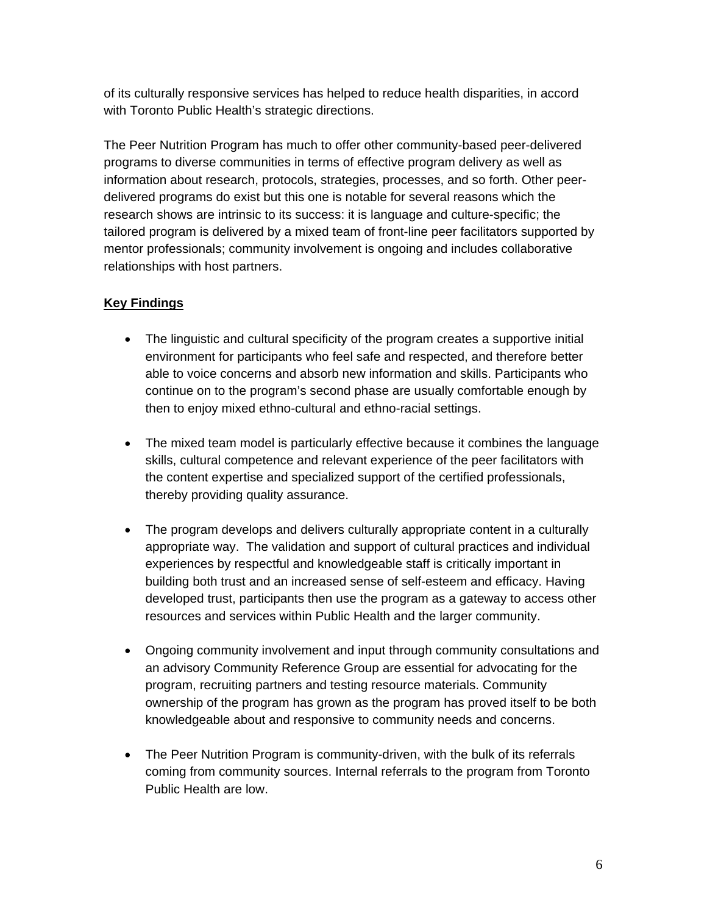of its culturally responsive services has helped to reduce health disparities, in accord with Toronto Public Health's strategic directions.

The Peer Nutrition Program has much to offer other community-based peer-delivered programs to diverse communities in terms of effective program delivery as well as information about research, protocols, strategies, processes, and so forth. Other peerdelivered programs do exist but this one is notable for several reasons which the research shows are intrinsic to its success: it is language and culture-specific; the tailored program is delivered by a mixed team of front-line peer facilitators supported by mentor professionals; community involvement is ongoing and includes collaborative relationships with host partners.

## **Key Findings**

- The linguistic and cultural specificity of the program creates a supportive initial environment for participants who feel safe and respected, and therefore better able to voice concerns and absorb new information and skills. Participants who continue on to the program's second phase are usually comfortable enough by then to enjoy mixed ethno-cultural and ethno-racial settings.
- The mixed team model is particularly effective because it combines the language skills, cultural competence and relevant experience of the peer facilitators with the content expertise and specialized support of the certified professionals, thereby providing quality assurance.
- The program develops and delivers culturally appropriate content in a culturally appropriate way. The validation and support of cultural practices and individual experiences by respectful and knowledgeable staff is critically important in building both trust and an increased sense of self-esteem and efficacy. Having developed trust, participants then use the program as a gateway to access other resources and services within Public Health and the larger community.
- Ongoing community involvement and input through community consultations and an advisory Community Reference Group are essential for advocating for the program, recruiting partners and testing resource materials. Community ownership of the program has grown as the program has proved itself to be both knowledgeable about and responsive to community needs and concerns.
- The Peer Nutrition Program is community-driven, with the bulk of its referrals coming from community sources. Internal referrals to the program from Toronto Public Health are low.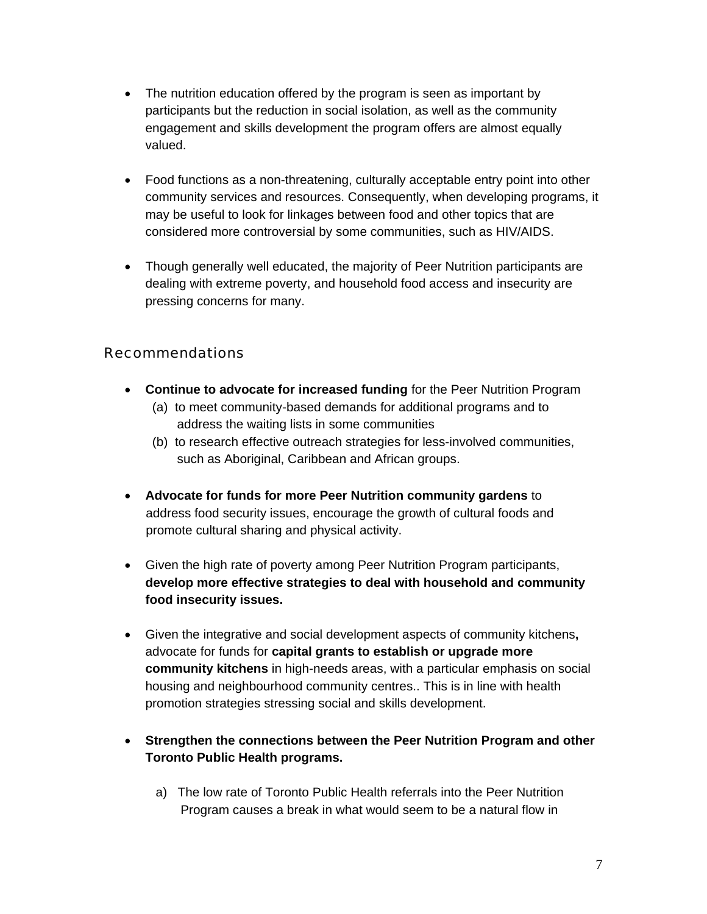- The nutrition education offered by the program is seen as important by participants but the reduction in social isolation, as well as the community engagement and skills development the program offers are almost equally valued.
- Food functions as a non-threatening, culturally acceptable entry point into other community services and resources. Consequently, when developing programs, it may be useful to look for linkages between food and other topics that are considered more controversial by some communities, such as HIV/AIDS.
- Though generally well educated, the majority of Peer Nutrition participants are dealing with extreme poverty, and household food access and insecurity are pressing concerns for many.

# Recommendations

- **Continue to advocate for increased funding** for the Peer Nutrition Program (a) to meet community-based demands for additional programs and to
	- address the waiting lists in some communities
	- (b) to research effective outreach strategies for less-involved communities, such as Aboriginal, Caribbean and African groups.
- **Advocate for funds for more Peer Nutrition community gardens** to address food security issues, encourage the growth of cultural foods and promote cultural sharing and physical activity.
- Given the high rate of poverty among Peer Nutrition Program participants, **develop more effective strategies to deal with household and community food insecurity issues.**
- Given the integrative and social development aspects of community kitchens**,**  advocate for funds for **capital grants to establish or upgrade more community kitchens** in high-needs areas, with a particular emphasis on social housing and neighbourhood community centres.. This is in line with health promotion strategies stressing social and skills development.
- **Strengthen the connections between the Peer Nutrition Program and other Toronto Public Health programs.**
	- a) The low rate of Toronto Public Health referrals into the Peer Nutrition Program causes a break in what would seem to be a natural flow in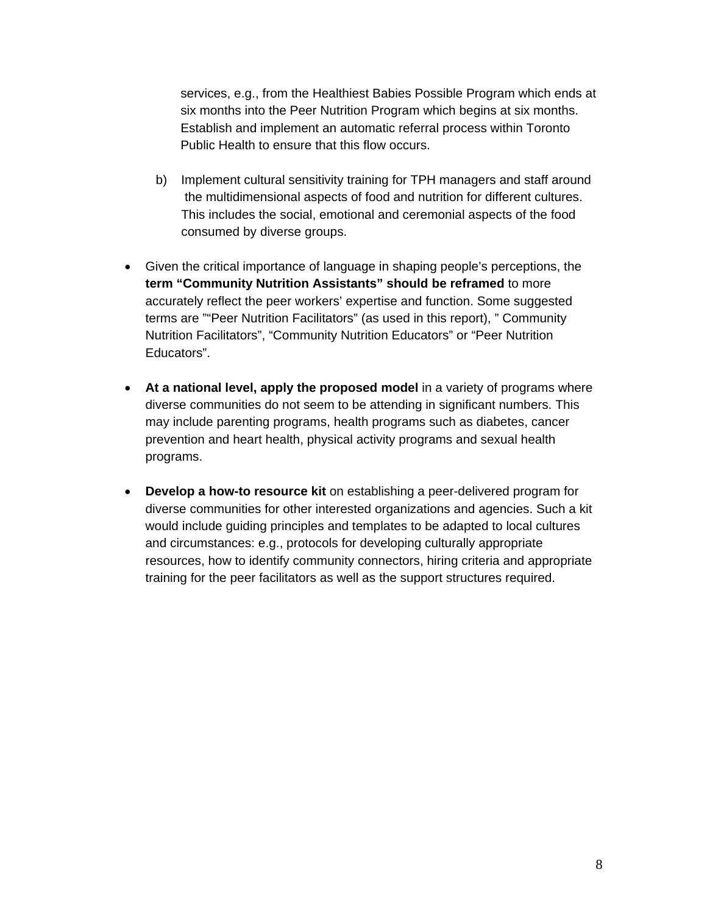services, e.g., from the Healthiest Babies Possible Program which ends at six months into the Peer Nutrition Program which begins at six months. Establish and implement an automatic referral process within Toronto Public Health to ensure that this flow occurs.

- b) Implement cultural sensitivity training for TPH managers and staff around the multidimensional aspects of food and nutrition for different cultures. This includes the social, emotional and ceremonial aspects of the food consumed by diverse groups.
- Given the critical importance of language in shaping people's perceptions, the **term "Community Nutrition Assistants" should be reframed** to more accurately reflect the peer workers' expertise and function. Some suggested terms are ""Peer Nutrition Facilitators" (as used in this report), " Community Nutrition Facilitators", "Community Nutrition Educators" or "Peer Nutrition Educators".
- **At a national level, apply the proposed model** in a variety of programs where diverse communities do not seem to be attending in significant numbers. This may include parenting programs, health programs such as diabetes, cancer prevention and heart health, physical activity programs and sexual health programs.
- **Develop a how-to resource kit** on establishing a peer-delivered program for diverse communities for other interested organizations and agencies. Such a kit would include guiding principles and templates to be adapted to local cultures and circumstances: e.g., protocols for developing culturally appropriate resources, how to identify community connectors, hiring criteria and appropriate training for the peer facilitators as well as the support structures required.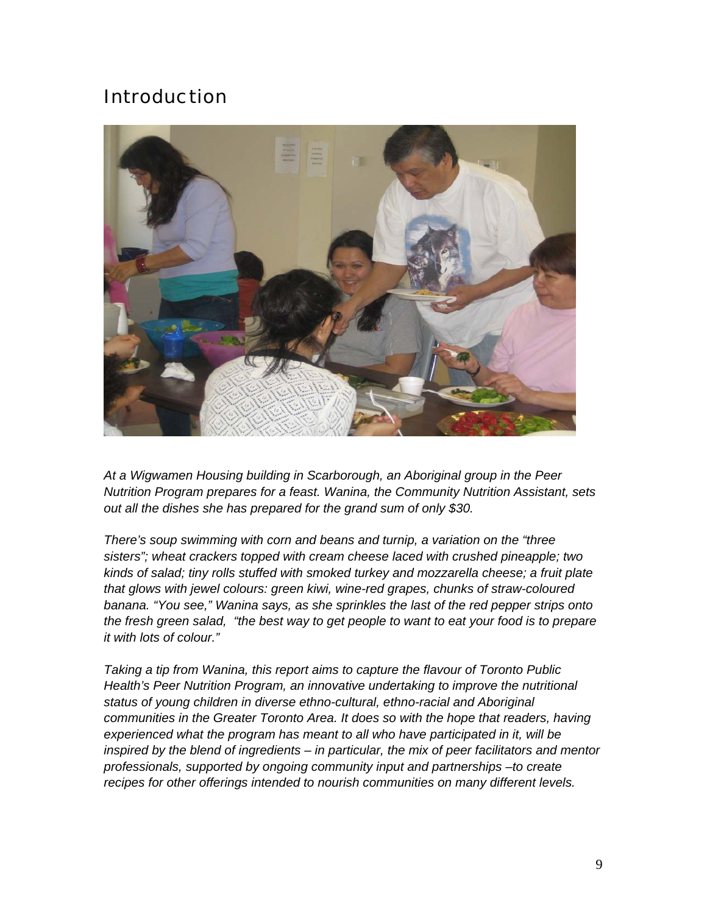# Introduction



*At a Wigwamen Housing building in Scarborough, an Aboriginal group in the Peer Nutrition Program prepares for a feast. Wanina, the Community Nutrition Assistant, sets out all the dishes she has prepared for the grand sum of only \$30.* 

*There's soup swimming with corn and beans and turnip, a variation on the "three sisters"; wheat crackers topped with cream cheese laced with crushed pineapple; two kinds of salad; tiny rolls stuffed with smoked turkey and mozzarella cheese; a fruit plate that glows with jewel colours: green kiwi, wine-red grapes, chunks of straw-coloured banana. "You see," Wanina says, as she sprinkles the last of the red pepper strips onto the fresh green salad, "the best way to get people to want to eat your food is to prepare it with lots of colour."* 

*Taking a tip from Wanina, this report aims to capture the flavour of Toronto Public Health's Peer Nutrition Program, an innovative undertaking to improve the nutritional status of young children in diverse ethno-cultural, ethno-racial and Aboriginal communities in the Greater Toronto Area. It does so with the hope that readers, having experienced what the program has meant to all who have participated in it, will be inspired by the blend of ingredients – in particular, the mix of peer facilitators and mentor professionals, supported by ongoing community input and partnerships –to create recipes for other offerings intended to nourish communities on many different levels.*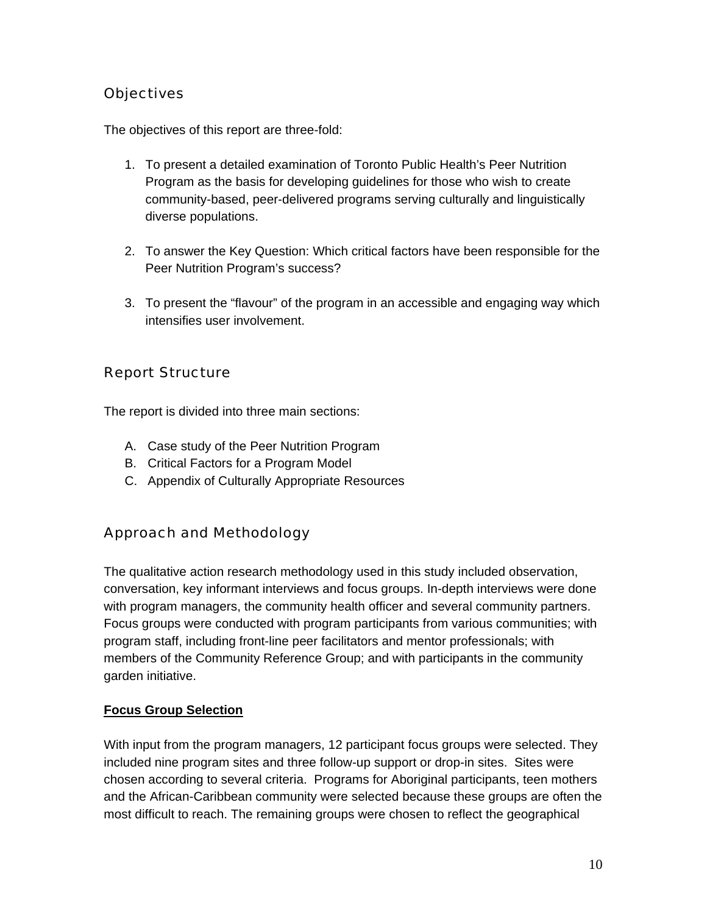# **Objectives**

The objectives of this report are three-fold:

- 1. To present a detailed examination of Toronto Public Health's Peer Nutrition Program as the basis for developing guidelines for those who wish to create community-based, peer-delivered programs serving culturally and linguistically diverse populations.
- 2. To answer the Key Question: Which critical factors have been responsible for the Peer Nutrition Program's success?
- 3. To present the "flavour" of the program in an accessible and engaging way which intensifies user involvement.

# Report Structure

The report is divided into three main sections:

- A. Case study of the Peer Nutrition Program
- B. Critical Factors for a Program Model
- C. Appendix of Culturally Appropriate Resources

# Approach and Methodology

The qualitative action research methodology used in this study included observation, conversation, key informant interviews and focus groups. In-depth interviews were done with program managers, the community health officer and several community partners. Focus groups were conducted with program participants from various communities; with program staff, including front-line peer facilitators and mentor professionals; with members of the Community Reference Group; and with participants in the community garden initiative.

#### **Focus Group Selection**

With input from the program managers, 12 participant focus groups were selected. They included nine program sites and three follow-up support or drop-in sites. Sites were chosen according to several criteria. Programs for Aboriginal participants, teen mothers and the African-Caribbean community were selected because these groups are often the most difficult to reach. The remaining groups were chosen to reflect the geographical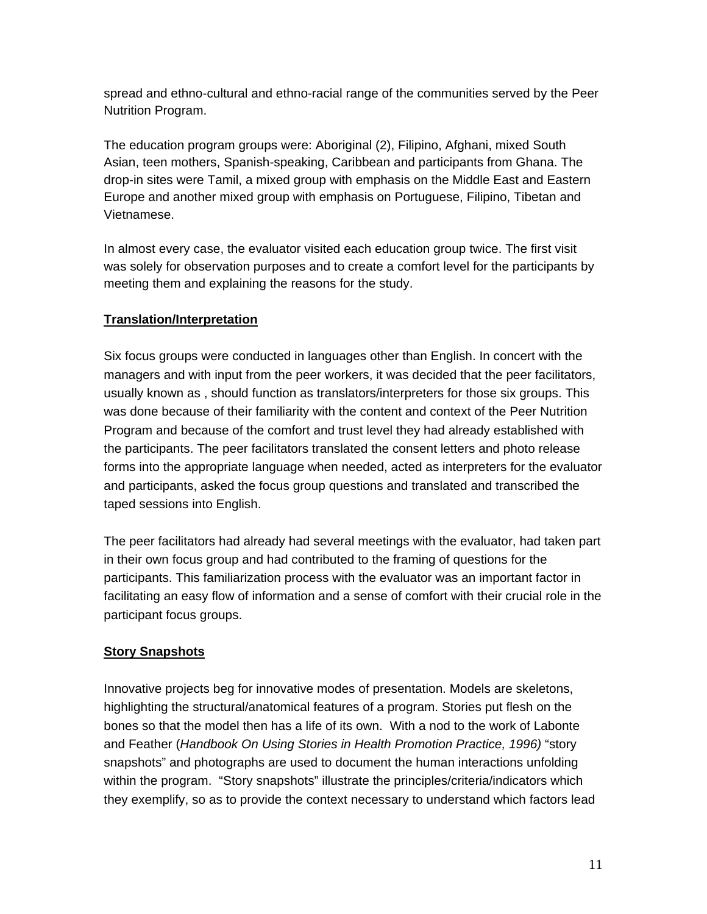spread and ethno-cultural and ethno-racial range of the communities served by the Peer Nutrition Program.

The education program groups were: Aboriginal (2), Filipino, Afghani, mixed South Asian, teen mothers, Spanish-speaking, Caribbean and participants from Ghana. The drop-in sites were Tamil, a mixed group with emphasis on the Middle East and Eastern Europe and another mixed group with emphasis on Portuguese, Filipino, Tibetan and Vietnamese.

In almost every case, the evaluator visited each education group twice. The first visit was solely for observation purposes and to create a comfort level for the participants by meeting them and explaining the reasons for the study.

## **Translation/Interpretation**

Six focus groups were conducted in languages other than English. In concert with the managers and with input from the peer workers, it was decided that the peer facilitators, usually known as , should function as translators/interpreters for those six groups. This was done because of their familiarity with the content and context of the Peer Nutrition Program and because of the comfort and trust level they had already established with the participants. The peer facilitators translated the consent letters and photo release forms into the appropriate language when needed, acted as interpreters for the evaluator and participants, asked the focus group questions and translated and transcribed the taped sessions into English.

The peer facilitators had already had several meetings with the evaluator, had taken part in their own focus group and had contributed to the framing of questions for the participants. This familiarization process with the evaluator was an important factor in facilitating an easy flow of information and a sense of comfort with their crucial role in the participant focus groups.

#### **Story Snapshots**

Innovative projects beg for innovative modes of presentation. Models are skeletons, highlighting the structural/anatomical features of a program. Stories put flesh on the bones so that the model then has a life of its own. With a nod to the work of Labonte and Feather (*Handbook On Using Stories in Health Promotion Practice, 1996)* "story snapshots" and photographs are used to document the human interactions unfolding within the program. "Story snapshots" illustrate the principles/criteria/indicators which they exemplify, so as to provide the context necessary to understand which factors lead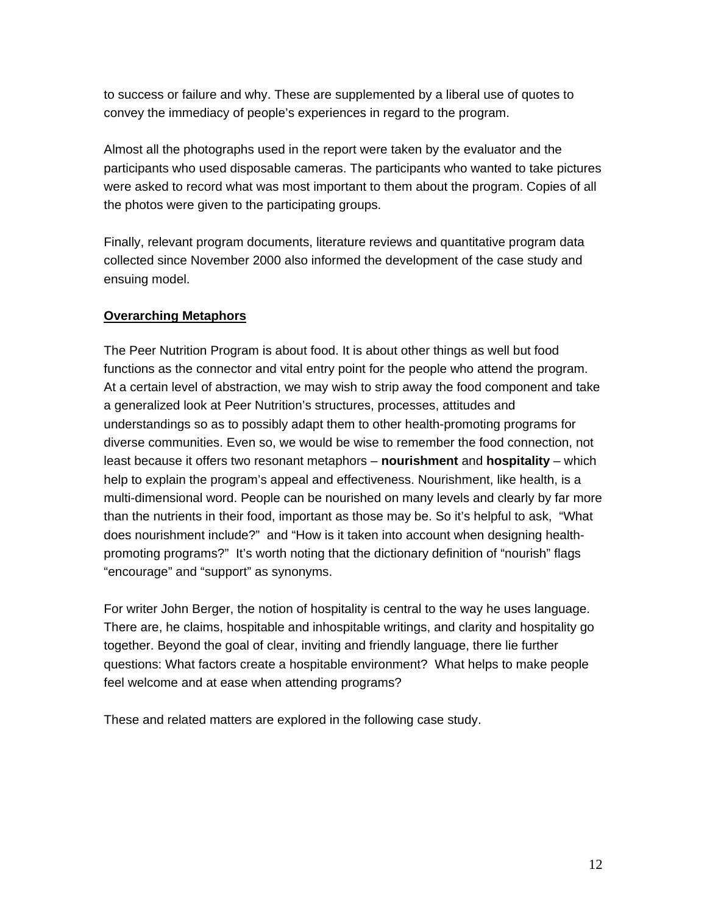to success or failure and why. These are supplemented by a liberal use of quotes to convey the immediacy of people's experiences in regard to the program.

Almost all the photographs used in the report were taken by the evaluator and the participants who used disposable cameras. The participants who wanted to take pictures were asked to record what was most important to them about the program. Copies of all the photos were given to the participating groups.

Finally, relevant program documents, literature reviews and quantitative program data collected since November 2000 also informed the development of the case study and ensuing model.

#### **Overarching Metaphors**

The Peer Nutrition Program is about food. It is about other things as well but food functions as the connector and vital entry point for the people who attend the program. At a certain level of abstraction, we may wish to strip away the food component and take a generalized look at Peer Nutrition's structures, processes, attitudes and understandings so as to possibly adapt them to other health-promoting programs for diverse communities. Even so, we would be wise to remember the food connection, not least because it offers two resonant metaphors – **nourishment** and **hospitality** – which help to explain the program's appeal and effectiveness. Nourishment, like health, is a multi-dimensional word. People can be nourished on many levels and clearly by far more than the nutrients in their food, important as those may be. So it's helpful to ask, "What does nourishment include?" and "How is it taken into account when designing healthpromoting programs?" It's worth noting that the dictionary definition of "nourish" flags "encourage" and "support" as synonyms.

For writer John Berger, the notion of hospitality is central to the way he uses language. There are, he claims, hospitable and inhospitable writings, and clarity and hospitality go together. Beyond the goal of clear, inviting and friendly language, there lie further questions: What factors create a hospitable environment? What helps to make people feel welcome and at ease when attending programs?

These and related matters are explored in the following case study.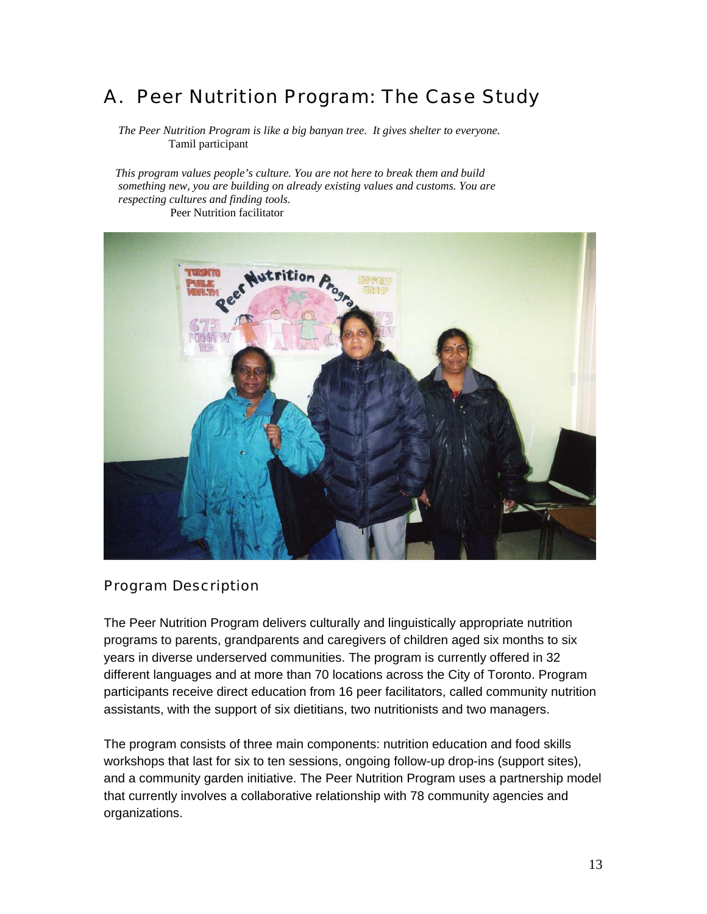# A. Peer Nutrition Program: The Case Study

 *The Peer Nutrition Program is like a big banyan tree. It gives shelter to everyone.*  Tamil participant

 *This program values people's culture. You are not here to break them and build something new, you are building on already existing values and customs. You are respecting cultures and finding tools.*  Peer Nutrition facilitator



#### Program Description

The Peer Nutrition Program delivers culturally and linguistically appropriate nutrition programs to parents, grandparents and caregivers of children aged six months to six years in diverse underserved communities. The program is currently offered in 32 different languages and at more than 70 locations across the City of Toronto. Program participants receive direct education from 16 peer facilitators, called community nutrition assistants, with the support of six dietitians, two nutritionists and two managers.

The program consists of three main components: nutrition education and food skills workshops that last for six to ten sessions, ongoing follow-up drop-ins (support sites), and a community garden initiative. The Peer Nutrition Program uses a partnership model that currently involves a collaborative relationship with 78 community agencies and organizations.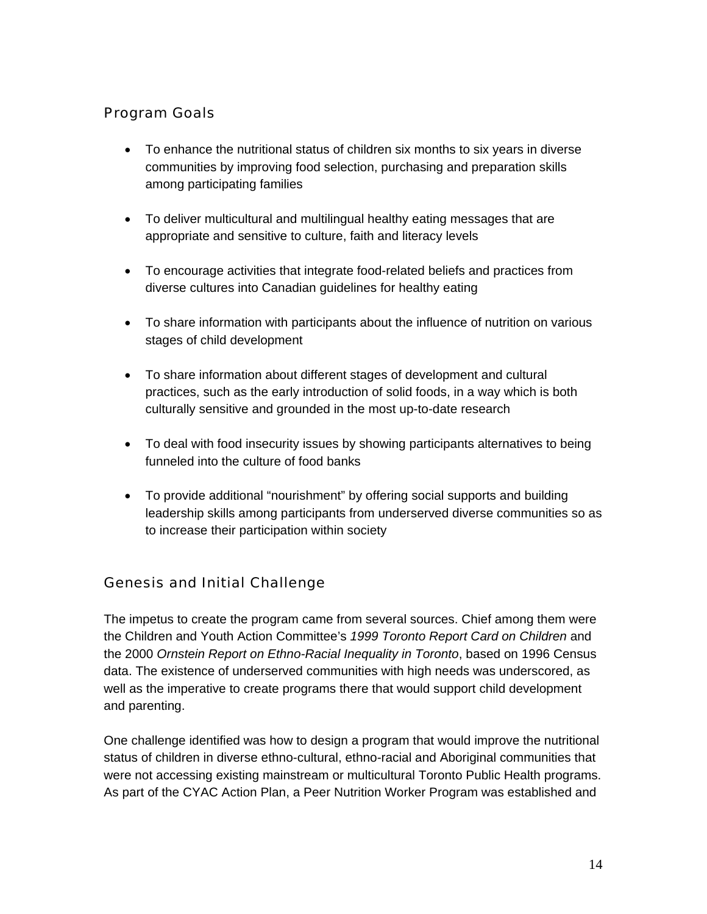# Program Goals

- To enhance the nutritional status of children six months to six years in diverse communities by improving food selection, purchasing and preparation skills among participating families
- To deliver multicultural and multilingual healthy eating messages that are appropriate and sensitive to culture, faith and literacy levels
- To encourage activities that integrate food-related beliefs and practices from diverse cultures into Canadian guidelines for healthy eating
- To share information with participants about the influence of nutrition on various stages of child development
- To share information about different stages of development and cultural practices, such as the early introduction of solid foods, in a way which is both culturally sensitive and grounded in the most up-to-date research
- To deal with food insecurity issues by showing participants alternatives to being funneled into the culture of food banks
- To provide additional "nourishment" by offering social supports and building leadership skills among participants from underserved diverse communities so as to increase their participation within society

# Genesis and Initial Challenge

The impetus to create the program came from several sources. Chief among them were the Children and Youth Action Committee's *1999 Toronto Report Card on Children* and the 2000 *Ornstein Report on Ethno-Racial Inequality in Toronto*, based on 1996 Census data. The existence of underserved communities with high needs was underscored, as well as the imperative to create programs there that would support child development and parenting.

One challenge identified was how to design a program that would improve the nutritional status of children in diverse ethno-cultural, ethno-racial and Aboriginal communities that were not accessing existing mainstream or multicultural Toronto Public Health programs. As part of the CYAC Action Plan, a Peer Nutrition Worker Program was established and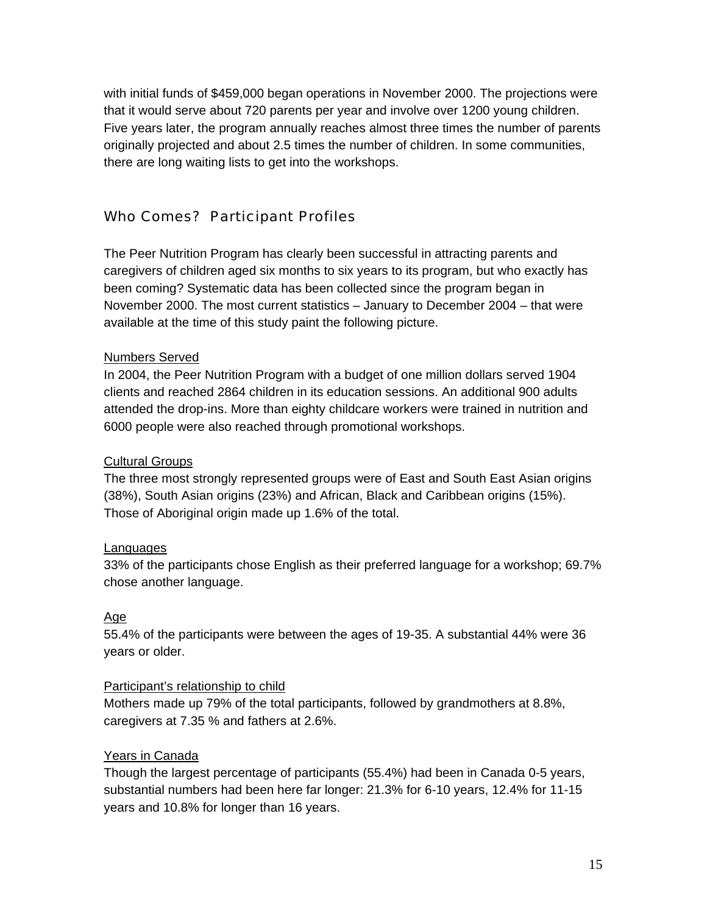with initial funds of \$459,000 began operations in November 2000. The projections were that it would serve about 720 parents per year and involve over 1200 young children. Five years later, the program annually reaches almost three times the number of parents originally projected and about 2.5 times the number of children. In some communities, there are long waiting lists to get into the workshops.

## Who Comes? Participant Profiles

The Peer Nutrition Program has clearly been successful in attracting parents and caregivers of children aged six months to six years to its program, but who exactly has been coming? Systematic data has been collected since the program began in November 2000. The most current statistics – January to December 2004 – that were available at the time of this study paint the following picture.

#### Numbers Served

In 2004, the Peer Nutrition Program with a budget of one million dollars served 1904 clients and reached 2864 children in its education sessions. An additional 900 adults attended the drop-ins. More than eighty childcare workers were trained in nutrition and 6000 people were also reached through promotional workshops.

#### Cultural Groups

The three most strongly represented groups were of East and South East Asian origins (38%), South Asian origins (23%) and African, Black and Caribbean origins (15%). Those of Aboriginal origin made up 1.6% of the total.

#### Languages

33% of the participants chose English as their preferred language for a workshop; 69.7% chose another language.

#### Age

55.4% of the participants were between the ages of 19-35. A substantial 44% were 36 years or older.

#### Participant's relationship to child

Mothers made up 79% of the total participants, followed by grandmothers at 8.8%, caregivers at 7.35 % and fathers at 2.6%.

#### Years in Canada

Though the largest percentage of participants (55.4%) had been in Canada 0-5 years, substantial numbers had been here far longer: 21.3% for 6-10 years, 12.4% for 11-15 years and 10.8% for longer than 16 years.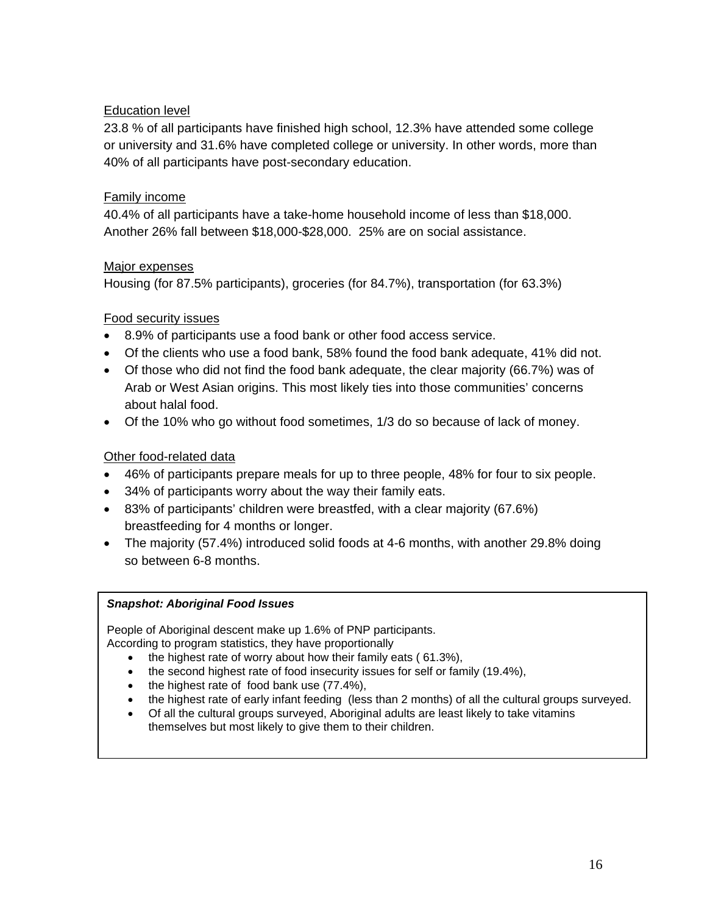## Education level

23.8 % of all participants have finished high school, 12.3% have attended some college or university and 31.6% have completed college or university. In other words, more than 40% of all participants have post-secondary education.

### Family income

40.4% of all participants have a take-home household income of less than \$18,000. Another 26% fall between \$18,000-\$28,000. 25% are on social assistance.

#### Major expenses

Housing (for 87.5% participants), groceries (for 84.7%), transportation (for 63.3%)

# Food security issues

- 8.9% of participants use a food bank or other food access service.
- Of the clients who use a food bank, 58% found the food bank adequate, 41% did not.
- Of those who did not find the food bank adequate, the clear majority (66.7%) was of Arab or West Asian origins. This most likely ties into those communities' concerns about halal food.
- Of the 10% who go without food sometimes, 1/3 do so because of lack of money.

# Other food-related data

- 46% of participants prepare meals for up to three people, 48% for four to six people.
- 34% of participants worry about the way their family eats.
- 83% of participants' children were breastfed, with a clear majority (67.6%) breastfeeding for 4 months or longer.
- The majority (57.4%) introduced solid foods at 4-6 months, with another 29.8% doing so between 6-8 months.

#### *Snapshot: Aboriginal Food Issues*

People of Aboriginal descent make up 1.6% of PNP participants. According to program statistics, they have proportionally

- the highest rate of worry about how their family eats (61.3%),
- the second highest rate of food insecurity issues for self or family (19.4%),
- the highest rate of food bank use (77.4%),
- the highest rate of early infant feeding (less than 2 months) of all the cultural groups surveyed.
- themselves but most likely to give them to their children. • Of all the cultural groups surveyed, Aboriginal adults are least likely to take vitamins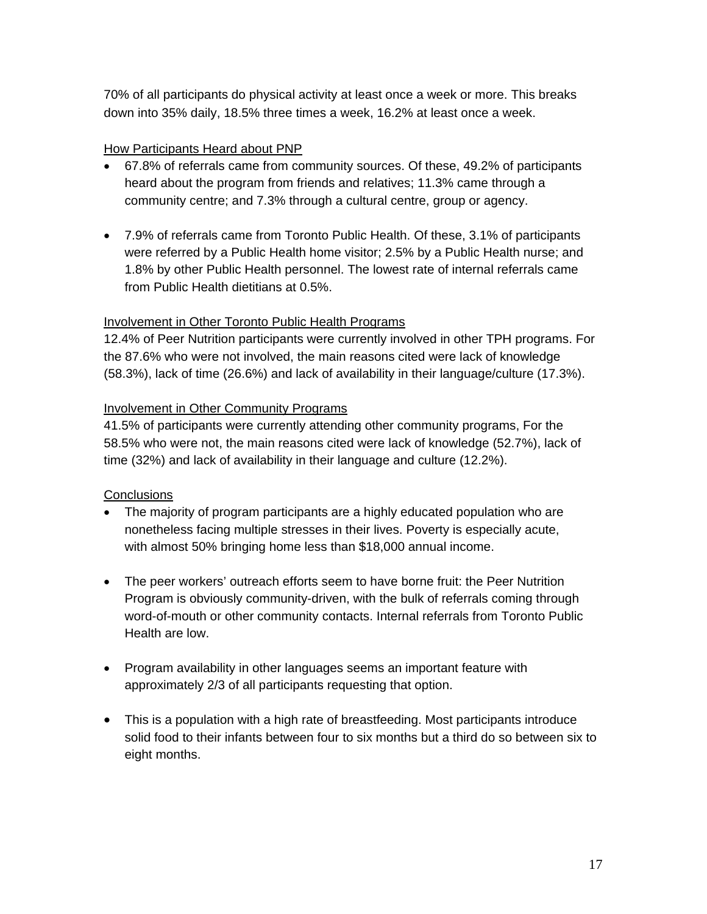70% of all participants do physical activity at least once a week or more. This breaks down into 35% daily, 18.5% three times a week, 16.2% at least once a week.

#### How Participants Heard about PNP

- 67.8% of referrals came from community sources. Of these, 49.2% of participants heard about the program from friends and relatives; 11.3% came through a community centre; and 7.3% through a cultural centre, group or agency.
- 7.9% of referrals came from Toronto Public Health. Of these, 3.1% of participants were referred by a Public Health home visitor; 2.5% by a Public Health nurse; and 1.8% by other Public Health personnel. The lowest rate of internal referrals came from Public Health dietitians at 0.5%.

#### Involvement in Other Toronto Public Health Programs

12.4% of Peer Nutrition participants were currently involved in other TPH programs. For the 87.6% who were not involved, the main reasons cited were lack of knowledge (58.3%), lack of time (26.6%) and lack of availability in their language/culture (17.3%).

#### Involvement in Other Community Programs

41.5% of participants were currently attending other community programs, For the 58.5% who were not, the main reasons cited were lack of knowledge (52.7%), lack of time (32%) and lack of availability in their language and culture (12.2%).

#### **Conclusions**

- The majority of program participants are a highly educated population who are nonetheless facing multiple stresses in their lives. Poverty is especially acute, with almost 50% bringing home less than \$18,000 annual income.
- The peer workers' outreach efforts seem to have borne fruit: the Peer Nutrition Program is obviously community-driven, with the bulk of referrals coming through word-of-mouth or other community contacts. Internal referrals from Toronto Public Health are low.
- Program availability in other languages seems an important feature with approximately 2/3 of all participants requesting that option.
- This is a population with a high rate of breastfeeding. Most participants introduce solid food to their infants between four to six months but a third do so between six to eight months.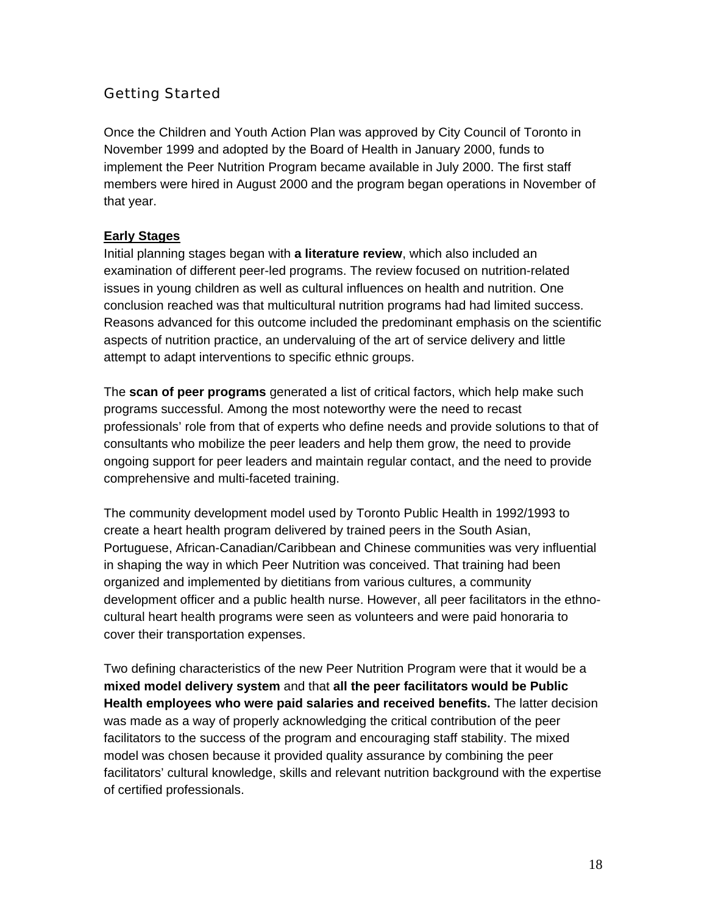# Getting Started

Once the Children and Youth Action Plan was approved by City Council of Toronto in November 1999 and adopted by the Board of Health in January 2000, funds to implement the Peer Nutrition Program became available in July 2000. The first staff members were hired in August 2000 and the program began operations in November of that year.

#### **Early Stages**

Initial planning stages began with **a literature review**, which also included an examination of different peer-led programs. The review focused on nutrition-related issues in young children as well as cultural influences on health and nutrition. One conclusion reached was that multicultural nutrition programs had had limited success. Reasons advanced for this outcome included the predominant emphasis on the scientific aspects of nutrition practice, an undervaluing of the art of service delivery and little attempt to adapt interventions to specific ethnic groups.

The **scan of peer programs** generated a list of critical factors, which help make such programs successful. Among the most noteworthy were the need to recast professionals' role from that of experts who define needs and provide solutions to that of consultants who mobilize the peer leaders and help them grow, the need to provide ongoing support for peer leaders and maintain regular contact, and the need to provide comprehensive and multi-faceted training.

The community development model used by Toronto Public Health in 1992/1993 to create a heart health program delivered by trained peers in the South Asian, Portuguese, African-Canadian/Caribbean and Chinese communities was very influential in shaping the way in which Peer Nutrition was conceived. That training had been organized and implemented by dietitians from various cultures, a community development officer and a public health nurse. However, all peer facilitators in the ethnocultural heart health programs were seen as volunteers and were paid honoraria to cover their transportation expenses.

Two defining characteristics of the new Peer Nutrition Program were that it would be a **mixed model delivery system** and that **all the peer facilitators would be Public Health employees who were paid salaries and received benefits.** The latter decision was made as a way of properly acknowledging the critical contribution of the peer facilitators to the success of the program and encouraging staff stability. The mixed model was chosen because it provided quality assurance by combining the peer facilitators' cultural knowledge, skills and relevant nutrition background with the expertise of certified professionals.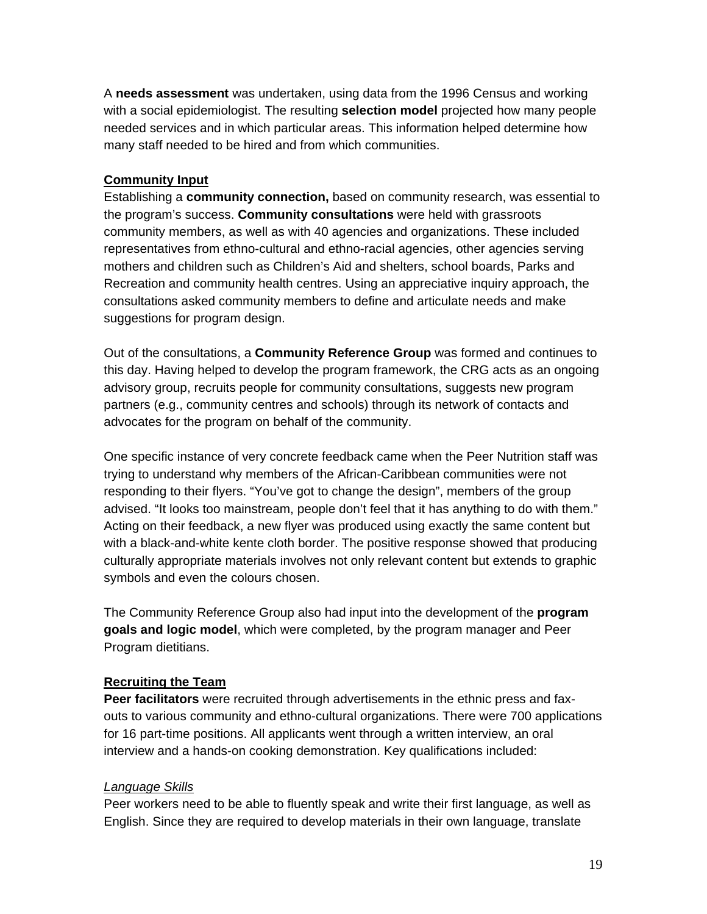A **needs assessment** was undertaken, using data from the 1996 Census and working with a social epidemiologist. The resulting **selection model** projected how many people needed services and in which particular areas. This information helped determine how many staff needed to be hired and from which communities.

#### **Community Input**

Establishing a **community connection,** based on community research, was essential to the program's success. **Community consultations** were held with grassroots community members, as well as with 40 agencies and organizations. These included representatives from ethno-cultural and ethno-racial agencies, other agencies serving mothers and children such as Children's Aid and shelters, school boards, Parks and Recreation and community health centres. Using an appreciative inquiry approach, the consultations asked community members to define and articulate needs and make suggestions for program design.

Out of the consultations, a **Community Reference Group** was formed and continues to this day. Having helped to develop the program framework, the CRG acts as an ongoing advisory group, recruits people for community consultations, suggests new program partners (e.g., community centres and schools) through its network of contacts and advocates for the program on behalf of the community.

One specific instance of very concrete feedback came when the Peer Nutrition staff was trying to understand why members of the African-Caribbean communities were not responding to their flyers. "You've got to change the design", members of the group advised. "It looks too mainstream, people don't feel that it has anything to do with them." Acting on their feedback, a new flyer was produced using exactly the same content but with a black-and-white kente cloth border. The positive response showed that producing culturally appropriate materials involves not only relevant content but extends to graphic symbols and even the colours chosen.

The Community Reference Group also had input into the development of the **program goals and logic model**, which were completed, by the program manager and Peer Program dietitians.

#### **Recruiting the Team**

**Peer facilitators** were recruited through advertisements in the ethnic press and faxouts to various community and ethno-cultural organizations. There were 700 applications for 16 part-time positions. All applicants went through a written interview, an oral interview and a hands-on cooking demonstration. Key qualifications included:

#### *Language Skills*

Peer workers need to be able to fluently speak and write their first language, as well as English. Since they are required to develop materials in their own language, translate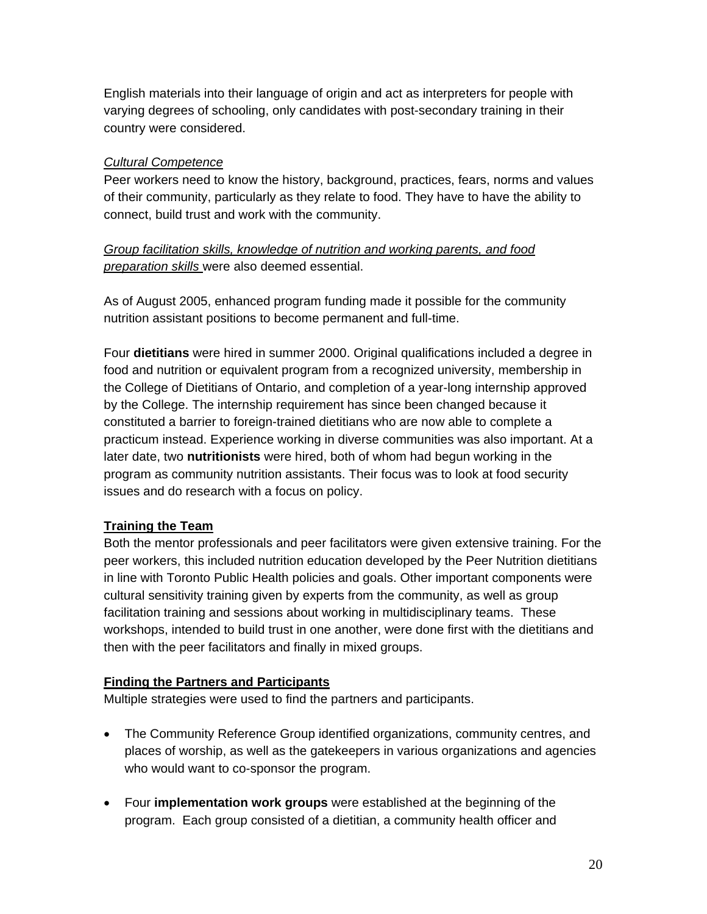English materials into their language of origin and act as interpreters for people with varying degrees of schooling, only candidates with post-secondary training in their country were considered.

#### *Cultural Competence*

Peer workers need to know the history, background, practices, fears, norms and values of their community, particularly as they relate to food. They have to have the ability to connect, build trust and work with the community.

#### *Group facilitation skills, knowledge of nutrition and working parents, and food preparation skills* were also deemed essential.

As of August 2005, enhanced program funding made it possible for the community nutrition assistant positions to become permanent and full-time.

Four **dietitians** were hired in summer 2000. Original qualifications included a degree in food and nutrition or equivalent program from a recognized university, membership in the College of Dietitians of Ontario, and completion of a year-long internship approved by the College. The internship requirement has since been changed because it constituted a barrier to foreign-trained dietitians who are now able to complete a practicum instead. Experience working in diverse communities was also important. At a later date, two **nutritionists** were hired, both of whom had begun working in the program as community nutrition assistants. Their focus was to look at food security issues and do research with a focus on policy.

#### **Training the Team**

Both the mentor professionals and peer facilitators were given extensive training. For the peer workers, this included nutrition education developed by the Peer Nutrition dietitians in line with Toronto Public Health policies and goals. Other important components were cultural sensitivity training given by experts from the community, as well as group facilitation training and sessions about working in multidisciplinary teams. These workshops, intended to build trust in one another, were done first with the dietitians and then with the peer facilitators and finally in mixed groups.

#### **Finding the Partners and Participants**

Multiple strategies were used to find the partners and participants.

- The Community Reference Group identified organizations, community centres, and places of worship, as well as the gatekeepers in various organizations and agencies who would want to co-sponsor the program.
- Four **implementation work groups** were established at the beginning of the program. Each group consisted of a dietitian, a community health officer and